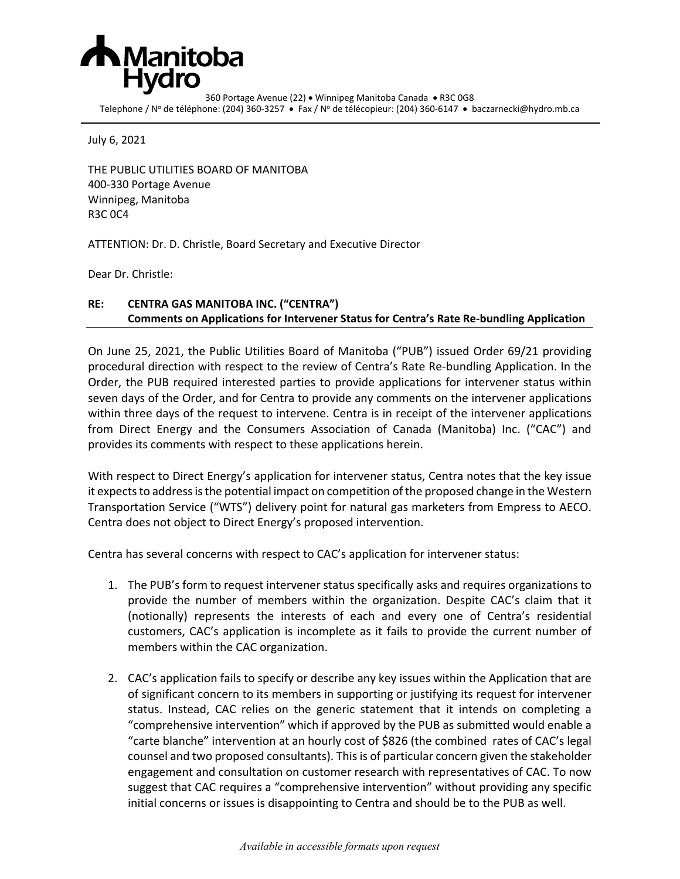

360 Portage Avenue (22) • Winnipeg Manitoba Canada • R3C 0G8 Telephone / Nº de téléphone: (204) 360-3257 • Fax / Nº de télécopieur: (204) 360-6147 • baczarnecki@hydro.mb.ca

July 6, 2021

THE PUBLIC UTILITIES BOARD OF MANITOBA 400-330 Portage Avenue Winnipeg, Manitoba R3C 0C4

ATTENTION: Dr. D. Christle, Board Secretary and Executive Director

Dear Dr. Christle:

## **RE: CENTRA GAS MANITOBA INC. ("CENTRA") Comments on Applications for Intervener Status for Centra's Rate Re-bundling Application**

On June 25, 2021, the Public Utilities Board of Manitoba ("PUB") issued Order 69/21 providing procedural direction with respect to the review of Centra's Rate Re-bundling Application. In the Order, the PUB required interested parties to provide applications for intervener status within seven days of the Order, and for Centra to provide any comments on the intervener applications within three days of the request to intervene. Centra is in receipt of the intervener applications from Direct Energy and the Consumers Association of Canada (Manitoba) Inc. ("CAC") and provides its comments with respect to these applications herein.

With respect to Direct Energy's application for intervener status, Centra notes that the key issue it expects to address is the potential impact on competition of the proposed change in the Western Transportation Service ("WTS") delivery point for natural gas marketers from Empress to AECO. Centra does not object to Direct Energy's proposed intervention.

Centra has several concerns with respect to CAC's application for intervener status:

- 1. The PUB's form to request intervener status specifically asks and requires organizations to provide the number of members within the organization. Despite CAC's claim that it (notionally) represents the interests of each and every one of Centra's residential customers, CAC's application is incomplete as it fails to provide the current number of members within the CAC organization.
- 2. CAC's application fails to specify or describe any key issues within the Application that are of significant concern to its members in supporting or justifying its request for intervener status. Instead, CAC relies on the generic statement that it intends on completing a "comprehensive intervention" which if approved by the PUB as submitted would enable a "carte blanche" intervention at an hourly cost of \$826 (the combined rates of CAC's legal counsel and two proposed consultants). This is of particular concern given the stakeholder engagement and consultation on customer research with representatives of CAC. To now suggest that CAC requires a "comprehensive intervention" without providing any specific initial concerns or issues is disappointing to Centra and should be to the PUB as well.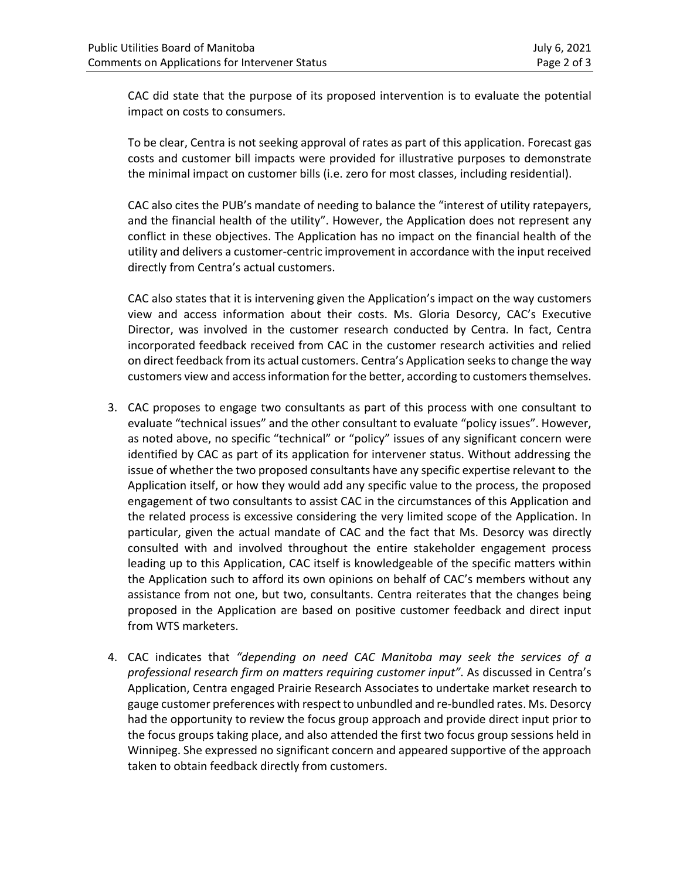CAC did state that the purpose of its proposed intervention is to evaluate the potential impact on costs to consumers.

To be clear, Centra is not seeking approval of rates as part of this application. Forecast gas costs and customer bill impacts were provided for illustrative purposes to demonstrate the minimal impact on customer bills (i.e. zero for most classes, including residential).

CAC also cites the PUB's mandate of needing to balance the "interest of utility ratepayers, and the financial health of the utility". However, the Application does not represent any conflict in these objectives. The Application has no impact on the financial health of the utility and delivers a customer-centric improvement in accordance with the input received directly from Centra's actual customers.

CAC also states that it is intervening given the Application's impact on the way customers view and access information about their costs. Ms. Gloria Desorcy, CAC's Executive Director, was involved in the customer research conducted by Centra. In fact, Centra incorporated feedback received from CAC in the customer research activities and relied on direct feedback from its actual customers. Centra's Application seeks to change the way customers view and access information for the better, according to customers themselves.

- 3. CAC proposes to engage two consultants as part of this process with one consultant to evaluate "technical issues" and the other consultant to evaluate "policy issues". However, as noted above, no specific "technical" or "policy" issues of any significant concern were identified by CAC as part of its application for intervener status. Without addressing the issue of whether the two proposed consultants have any specific expertise relevant to the Application itself, or how they would add any specific value to the process, the proposed engagement of two consultants to assist CAC in the circumstances of this Application and the related process is excessive considering the very limited scope of the Application. In particular, given the actual mandate of CAC and the fact that Ms. Desorcy was directly consulted with and involved throughout the entire stakeholder engagement process leading up to this Application, CAC itself is knowledgeable of the specific matters within the Application such to afford its own opinions on behalf of CAC's members without any assistance from not one, but two, consultants. Centra reiterates that the changes being proposed in the Application are based on positive customer feedback and direct input from WTS marketers.
- 4. CAC indicates that *"depending on need CAC Manitoba may seek the services of a professional research firm on matters requiring customer input"*. As discussed in Centra's Application, Centra engaged Prairie Research Associates to undertake market research to gauge customer preferences with respect to unbundled and re-bundled rates. Ms. Desorcy had the opportunity to review the focus group approach and provide direct input prior to the focus groups taking place, and also attended the first two focus group sessions held in Winnipeg. She expressed no significant concern and appeared supportive of the approach taken to obtain feedback directly from customers.